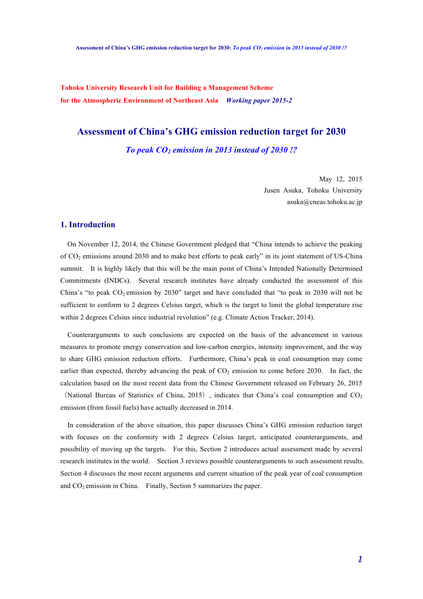**Tohoku University Research Unit for Building a Management Scheme for the Atmospheric Environment of Northeast Asia** *Working paper 2015-2*

# **Assessment of China's GHG emission reduction target for 2030**

*To peak CO2 emission in 2013 instead of 2030 !?*

May 12, 2015 Jusen Asuka, Tohoku University asuka@cneas.tohoku.ac.jp

### **1. Introduction**

On November 12, 2014, the Chinese Government pledged that "China intends to achieve the peaking of CO2 emissions around 2030 and to make best efforts to peak early" in its joint statement of US-China summit. It is highly likely that this will be the main point of China's Intended Nationally Determined Commitments (INDCs). Several research institutes have already conducted the assessment of this China's "to peak  $CO_2$  emission by 2030" target and have concluded that "to peak in 2030 will not be sufficient to conform to 2 degrees Celsius target, which is the target to limit the global temperature rise within 2 degrees Celsius since industrial revolution" (e.g. Climate Action Tracker, 2014).

Counterarguments to such conclusions are expected on the basis of the advancement in various measures to promote energy conservation and low-carbon energies, intensity improvement, and the way to share GHG emission reduction efforts. Furthermore, China's peak in coal consumption may come earlier than expected, thereby advancing the peak of  $CO<sub>2</sub>$  emission to come before 2030. In fact, the calculation based on the most recent data from the Chinese Government released on February 26, 2015

(National Bureau of Statistics of China, 2015), indicates that China's coal consumption and  $CO<sub>2</sub>$ emission (from fossil fuels) have actually decreased in 2014.

In consideration of the above situation, this paper discusses China's GHG emission reduction target with focuses on the conformity with 2 degrees Celsius target, anticipated counterarguments, and possibility of moving up the targets. For this, Section 2 introduces actual assessment made by several research institutes in the world. Section 3 reviews possible counterarguments to such assessment results. Section 4 discusses the most recent arguments and current situation of the peak year of coal consumption and  $CO<sub>2</sub>$  emission in China. Finally, Section 5 summarizes the paper.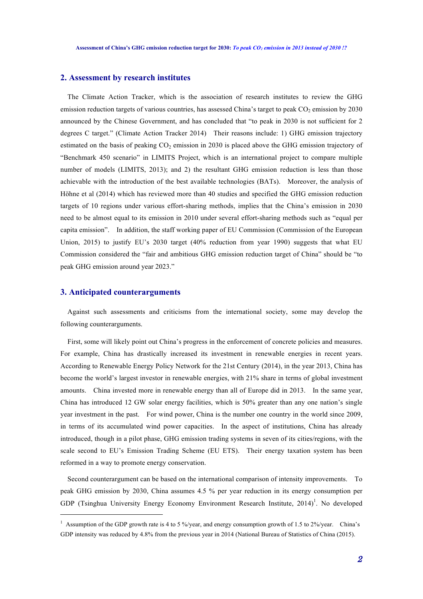## **2. Assessment by research institutes**

The Climate Action Tracker, which is the association of research institutes to review the GHG emission reduction targets of various countries, has assessed China's target to peak  $CO<sub>2</sub>$  emission by 2030 announced by the Chinese Government, and has concluded that "to peak in 2030 is not sufficient for 2 degrees C target." (Climate Action Tracker 2014) Their reasons include: 1) GHG emission trajectory estimated on the basis of peaking  $CO<sub>2</sub>$  emission in 2030 is placed above the GHG emission trajectory of "Benchmark 450 scenario" in LIMITS Project, which is an international project to compare multiple number of models (LIMITS, 2013); and 2) the resultant GHG emission reduction is less than those achievable with the introduction of the best available technologies (BATs). Moreover, the analysis of Höhne et al (2014) which has reviewed more than 40 studies and specified the GHG emission reduction targets of 10 regions under various effort-sharing methods, implies that the China's emission in 2030 need to be almost equal to its emission in 2010 under several effort-sharing methods such as "equal per capita emission". In addition, the staff working paper of EU Commission (Commission of the European Union, 2015) to justify EU's 2030 target (40% reduction from year 1990) suggests that what EU Commission considered the "fair and ambitious GHG emission reduction target of China" should be "to peak GHG emission around year 2023."

### **3. Anticipated counterarguments**

l

Against such assessments and criticisms from the international society, some may develop the following counterarguments.

First, some will likely point out China's progress in the enforcement of concrete policies and measures. For example, China has drastically increased its investment in renewable energies in recent years. According to Renewable Energy Policy Network for the 21st Century (2014), in the year 2013, China has become the world's largest investor in renewable energies, with 21% share in terms of global investment amounts. China invested more in renewable energy than all of Europe did in 2013. In the same year, China has introduced 12 GW solar energy facilities, which is 50% greater than any one nation's single year investment in the past. For wind power, China is the number one country in the world since 2009, in terms of its accumulated wind power capacities. In the aspect of institutions, China has already introduced, though in a pilot phase, GHG emission trading systems in seven of its cities/regions, with the scale second to EU's Emission Trading Scheme (EU ETS). Their energy taxation system has been reformed in a way to promote energy conservation.

Second counterargument can be based on the international comparison of intensity improvements. To peak GHG emission by 2030, China assumes 4.5 % per year reduction in its energy consumption per GDP (Tsinghua University Energy Economy Environment Research Institute,  $2014$ <sup>1</sup>. No developed

<sup>&</sup>lt;sup>1</sup> Assumption of the GDP growth rate is 4 to 5 %/year, and energy consumption growth of 1.5 to 2%/year. China's GDP intensity was reduced by 4.8% from the previous year in 2014 (National Bureau of Statistics of China (2015).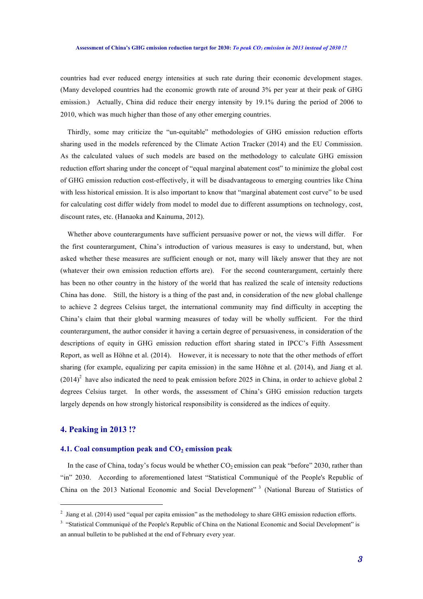#### **Assessment of China's GHG emission reduction target for 2030:** *To peak CO2 emission in 2013 instead of 2030 !?*

countries had ever reduced energy intensities at such rate during their economic development stages. (Many developed countries had the economic growth rate of around 3% per year at their peak of GHG emission.) Actually, China did reduce their energy intensity by 19.1% during the period of 2006 to 2010, which was much higher than those of any other emerging countries.

Thirdly, some may criticize the "un-equitable" methodologies of GHG emission reduction efforts sharing used in the models referenced by the Climate Action Tracker (2014) and the EU Commission. As the calculated values of such models are based on the methodology to calculate GHG emission reduction effort sharing under the concept of "equal marginal abatement cost" to minimize the global cost of GHG emission reduction cost-effectively, it will be disadvantageous to emerging countries like China with less historical emission. It is also important to know that "marginal abatement cost curve" to be used for calculating cost differ widely from model to model due to different assumptions on technology, cost, discount rates, etc. (Hanaoka and Kainuma, 2012).

Whether above counterarguments have sufficient persuasive power or not, the views will differ. For the first counterargument, China's introduction of various measures is easy to understand, but, when asked whether these measures are sufficient enough or not, many will likely answer that they are not (whatever their own emission reduction efforts are). For the second counterargument, certainly there has been no other country in the history of the world that has realized the scale of intensity reductions China has done. Still, the history is a thing of the past and, in consideration of the new global challenge to achieve 2 degrees Celsius target, the international community may find difficulty in accepting the China's claim that their global warming measures of today will be wholly sufficient. For the third counterargument, the author consider it having a certain degree of persuasiveness, in consideration of the descriptions of equity in GHG emission reduction effort sharing stated in IPCC's Fifth Assessment Report, as well as Höhne et al. (2014). However, it is necessary to note that the other methods of effort sharing (for example, equalizing per capita emission) in the same Höhne et al. (2014), and Jiang et al.  $(2014)^2$  have also indicated the need to peak emission before 2025 in China, in order to achieve global 2 degrees Celsius target. In other words, the assessment of China's GHG emission reduction targets largely depends on how strongly historical responsibility is considered as the indices of equity.

## **4. Peaking in 2013 !?**

#### **4.1.** Coal consumption peak and  $CO<sub>2</sub>$  emission peak

In the case of China, today's focus would be whether  $CO<sub>2</sub>$  emission can peak "before" 2030, rather than "in" 2030. According to aforementioned latest "Statistical Communiqué of the People's Republic of China on the 2013 National Economic and Social Development" <sup>3</sup> (National Bureau of Statistics of

<sup>&</sup>lt;sup>2</sup> Jiang et al. (2014) used "equal per capita emission" as the methodology to share GHG emission reduction efforts.

<sup>&</sup>lt;sup>3</sup> "Statistical Communiqué of the People's Republic of China on the National Economic and Social Development" is an annual bulletin to be published at the end of February every year.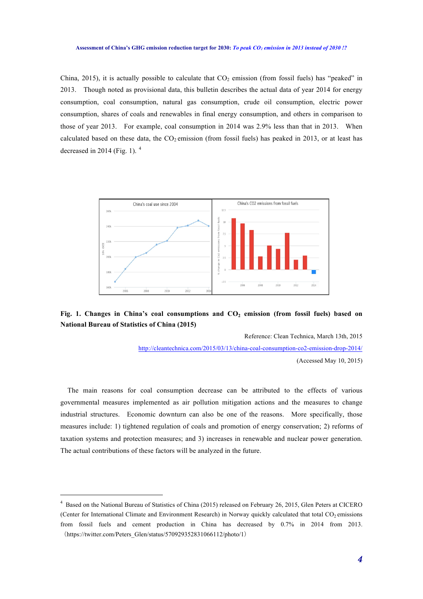China, 2015), it is actually possible to calculate that  $CO<sub>2</sub>$  emission (from fossil fuels) has "peaked" in 2013. Though noted as provisional data, this bulletin describes the actual data of year 2014 for energy consumption, coal consumption, natural gas consumption, crude oil consumption, electric power consumption, shares of coals and renewables in final energy consumption, and others in comparison to those of year 2013. For example, coal consumption in 2014 was 2.9% less than that in 2013. When calculated based on these data, the  $CO_2$  emission (from fossil fuels) has peaked in 2013, or at least has decreased in 2014 (Fig. 1).  $4$ 



## **Fig. 1. Changes in China's coal consumptions and CO2 emission (from fossil fuels) based on National Bureau of Statistics of China (2015)**

Reference: Clean Technica, March 13th, 2015

http://cleantechnica.com/2015/03/13/china-coal-consumption-co2-emission-drop-2014/ (Accessed May 10, 2015)

The main reasons for coal consumption decrease can be attributed to the effects of various governmental measures implemented as air pollution mitigation actions and the measures to change industrial structures. Economic downturn can also be one of the reasons. More specifically, those measures include: 1) tightened regulation of coals and promotion of energy conservation; 2) reforms of taxation systems and protection measures; and 3) increases in renewable and nuclear power generation. The actual contributions of these factors will be analyzed in the future.

l

<sup>4</sup> Based on the National Bureau of Statistics of China (2015) released on February 26, 2015, Glen Peters at CICERO (Center for International Climate and Environment Research) in Norway quickly calculated that total  $CO<sub>2</sub>$  emissions from fossil fuels and cement production in China has decreased by 0.7% in 2014 from 2013. (https://twitter.com/Peters\_Glen/status/570929352831066112/photo/1)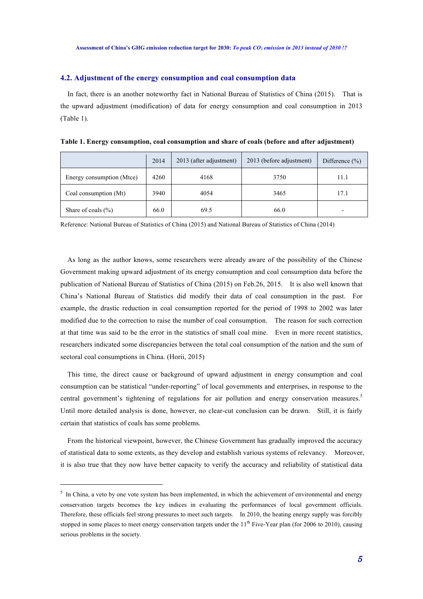#### **4.2. Adjustment of the energy consumption and coal consumption data**

In fact, there is an another noteworthy fact in National Bureau of Statistics of China (2015). That is the upward adjustment (modification) of data for energy consumption and coal consumption in 2013 (Table 1).

|                           | 2014 | 2013 (after adjustment) | 2013 (before adjustment) | Difference $(\% )$ |
|---------------------------|------|-------------------------|--------------------------|--------------------|
| Energy consumption (Mtce) | 4260 | 4168                    | 3750                     | 11.1               |
| Coal consumption (Mt)     | 3940 | 4054                    | 3465                     | 17.1               |
| Share of coals $(\% )$    | 66.0 | 69.5                    | 66.0                     |                    |

**Table 1. Energy consumption, coal consumption and share of coals (before and after adjustment)**

Reference: National Bureau of Statistics of China (2015) and National Bureau of Statistics of China (2014)

As long as the author knows, some researchers were already aware of the possibility of the Chinese Government making upward adjustment of its energy consumption and coal consumption data before the publication of National Bureau of Statistics of China (2015) on Feb.26, 2015. It is also well known that China's National Bureau of Statistics did modify their data of coal consumption in the past. For example, the drastic reduction in coal consumption reported for the period of 1998 to 2002 was later modified due to the correction to raise the number of coal consumption. The reason for such correction at that time was said to be the error in the statistics of small coal mine. Even in more recent statistics, researchers indicated some discrepancies between the total coal consumption of the nation and the sum of sectoral coal consumptions in China. (Horii, 2015)

This time, the direct cause or background of upward adjustment in energy consumption and coal consumption can be statistical "under-reporting" of local governments and enterprises, in response to the central government's tightening of regulations for air pollution and energy conservation measures.<sup>5</sup> Until more detailed analysis is done, however, no clear-cut conclusion can be drawn. Still, it is fairly certain that statistics of coals has some problems.

From the historical viewpoint, however, the Chinese Government has gradually improved the accuracy of statistical data to some extents, as they develop and establish various systems of relevancy. Moreover, it is also true that they now have better capacity to verify the accuracy and reliability of statistical data

l

 $<sup>5</sup>$  In China, a veto by one vote system has been implemented, in which the achievement of environmental and energy</sup> conservation targets becomes the key indices in evaluating the performances of local government officials. Therefore, these officials feel strong pressures to meet such targets. In 2010, the heating energy supply was forcibly stopped in some places to meet energy conservation targets under the  $11<sup>th</sup>$  Five-Year plan (for 2006 to 2010), causing serious problems in the society.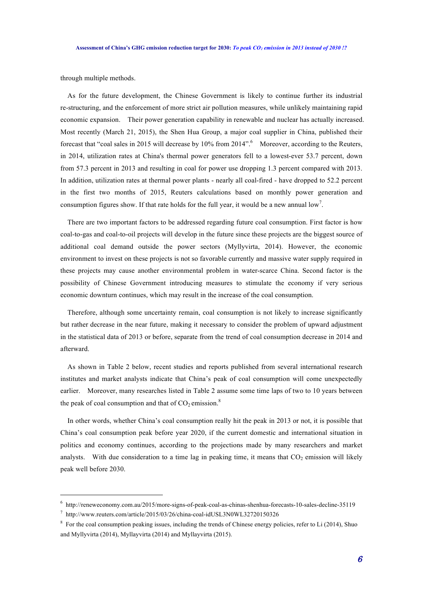through multiple methods.

As for the future development, the Chinese Government is likely to continue further its industrial re-structuring, and the enforcement of more strict air pollution measures, while unlikely maintaining rapid economic expansion. Their power generation capability in renewable and nuclear has actually increased. Most recently (March 21, 2015), the Shen Hua Group, a major coal supplier in China, published their forecast that "coal sales in 2015 will decrease by 10% from 2014". Moreover, according to the Reuters, in 2014, utilization rates at China's thermal power generators fell to a lowest-ever 53.7 percent, down from 57.3 percent in 2013 and resulting in coal for power use dropping 1.3 percent compared with 2013. In addition, utilization rates at thermal power plants - nearly all coal-fired - have dropped to 52.2 percent in the first two months of 2015, Reuters calculations based on monthly power generation and consumption figures show. If that rate holds for the full year, it would be a new annual  $\text{low}^7$ .

There are two important factors to be addressed regarding future coal consumption. First factor is how coal-to-gas and coal-to-oil projects will develop in the future since these projects are the biggest source of additional coal demand outside the power sectors (Myllyvirta, 2014). However, the economic environment to invest on these projects is not so favorable currently and massive water supply required in these projects may cause another environmental problem in water-scarce China. Second factor is the possibility of Chinese Government introducing measures to stimulate the economy if very serious economic downturn continues, which may result in the increase of the coal consumption.

Therefore, although some uncertainty remain, coal consumption is not likely to increase significantly but rather decrease in the near future, making it necessary to consider the problem of upward adjustment in the statistical data of 2013 or before, separate from the trend of coal consumption decrease in 2014 and afterward.

As shown in Table 2 below, recent studies and reports published from several international research institutes and market analysts indicate that China's peak of coal consumption will come unexpectedly earlier. Moreover, many researches listed in Table 2 assume some time laps of two to 10 years between the peak of coal consumption and that of  $CO_2$  emission.<sup>8</sup>

In other words, whether China's coal consumption really hit the peak in 2013 or not, it is possible that China's coal consumption peak before year 2020, if the current domestic and international situation in politics and economy continues, according to the projections made by many researchers and market analysts. With due consideration to a time lag in peaking time, it means that  $CO<sub>2</sub>$  emission will likely peak well before 2030.

l

<sup>6</sup> http://reneweconomy.com.au/2015/more-signs-of-peak-coal-as-chinas-shenhua-forecasts-10-sales-decline-35119

<sup>7</sup> http://www.reuters.com/article/2015/03/26/china-coal-idUSL3N0WL32720150326

<sup>&</sup>lt;sup>8</sup> For the coal consumption peaking issues, including the trends of Chinese energy policies, refer to Li (2014), Shuo and Myllyvirta (2014), Myllayvirta (2014) and Myllayvirta (2015).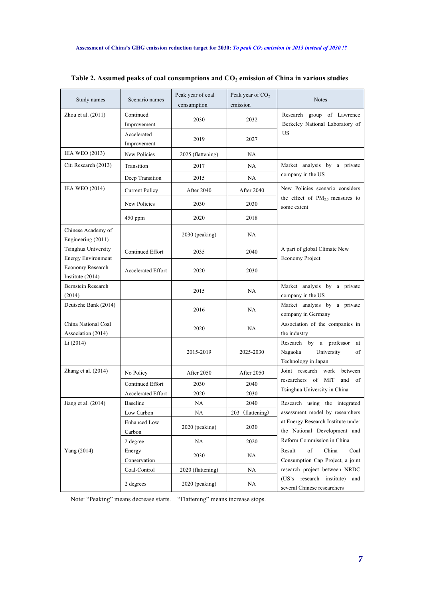| Study names                                      | Scenario names             | Peak year of coal<br>consumption | Peak year of $CO2$<br>emission | <b>Notes</b>                                                                                                                                                          |  |
|--------------------------------------------------|----------------------------|----------------------------------|--------------------------------|-----------------------------------------------------------------------------------------------------------------------------------------------------------------------|--|
| Zhou et al. (2011)                               | Continued<br>Improvement   | 2030                             | 2032                           | Research group of Lawrence<br>Berkeley National Laboratory of                                                                                                         |  |
|                                                  | Accelerated<br>Improvement | 2019                             | 2027                           | US                                                                                                                                                                    |  |
| <b>IEA WEO (2013)</b>                            | New Policies               | 2025 (flattening)                | NA                             |                                                                                                                                                                       |  |
| Citi Research (2013)                             | Transition                 | 2017                             | NA                             | Market analysis by a private<br>company in the US                                                                                                                     |  |
|                                                  | Deep Transition            | 2015                             | <b>NA</b>                      |                                                                                                                                                                       |  |
| <b>IEA WEO (2014)</b>                            | <b>Current Policy</b>      | <b>After 2040</b>                | After 2040                     | New Policies scenario considers<br>the effect of PM <sub>2.5</sub> measures to<br>some extent                                                                         |  |
|                                                  | New Policies               | 2030                             | 2030                           |                                                                                                                                                                       |  |
|                                                  | $450$ ppm                  | 2020                             | 2018                           |                                                                                                                                                                       |  |
| Chinese Academy of<br>Engineering (2011)         |                            | 2030 (peaking)                   | NA                             |                                                                                                                                                                       |  |
| Tsinghua University<br><b>Energy Environment</b> | <b>Continued Effort</b>    | 2035                             | 2040                           | A part of global Climate New<br>Economy Project                                                                                                                       |  |
| Economy Research<br>Institute (2014)             | <b>Accelerated Effort</b>  | 2020                             | 2030                           |                                                                                                                                                                       |  |
| Bernstein Research<br>(2014)                     |                            | 2015                             | <b>NA</b>                      | Market analysis by a private<br>company in the US                                                                                                                     |  |
| Deutsche Bank (2014)                             |                            | 2016                             | NA                             | Market analysis by a private<br>company in Germany                                                                                                                    |  |
| China National Coal<br>Association (2014)        |                            | 2020                             | NA                             | Association of the companies in<br>the industry                                                                                                                       |  |
| Li (2014)                                        |                            | 2015-2019                        | 2025-2030                      | Research by a professor<br>at<br>Nagaoka<br>University<br>of<br>Technology in Japan                                                                                   |  |
| Zhang et al. (2014)                              | No Policy                  | After 2050                       | After 2050                     | Joint research<br>work<br>between                                                                                                                                     |  |
|                                                  | Continued Effort           | 2030                             | 2040                           | researchers of<br>MIT<br>and<br>of                                                                                                                                    |  |
|                                                  | Accelerated Effort         | 2020                             | 2030                           | Tsinghua University in China                                                                                                                                          |  |
| Jiang et al. (2014)                              | Baseline                   | NA                               | 2040                           | Research using the integrated<br>assessment model by researchers<br>at Energy Research Institute under<br>the National Development and                                |  |
|                                                  | Low Carbon                 | NA                               | 203 (flattening)               |                                                                                                                                                                       |  |
|                                                  | Enhanced Low<br>Carbon     | 2020 (peaking)                   | 2030                           |                                                                                                                                                                       |  |
|                                                  | 2 degree                   | NA                               | 2020                           | Reform Commission in China                                                                                                                                            |  |
| Yang (2014)                                      | Energy<br>Conservation     | 2030                             | NA                             | of<br>Result<br>China<br>Coal<br>Consumption Cap Project, a joint<br>research project between NRDC<br>(US's research institute)<br>and<br>several Chinese researchers |  |
|                                                  | Coal-Control               | 2020 (flattening)                | NA                             |                                                                                                                                                                       |  |
|                                                  | 2 degrees                  | 2020 (peaking)                   | NA                             |                                                                                                                                                                       |  |

Note: "Peaking" means decrease starts. "Flattening" means increase stops.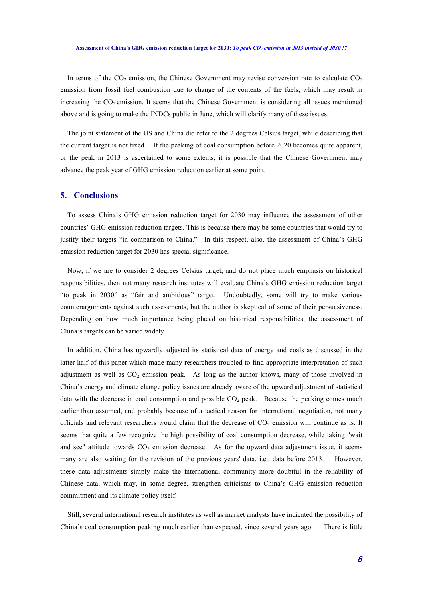#### **Assessment of China's GHG emission reduction target for 2030:** *To peak CO2 emission in 2013 instead of 2030 !?*

In terms of the  $CO<sub>2</sub>$  emission, the Chinese Government may revise conversion rate to calculate  $CO<sub>2</sub>$ emission from fossil fuel combustion due to change of the contents of the fuels, which may result in increasing the  $CO<sub>2</sub>$  emission. It seems that the Chinese Government is considering all issues mentioned above and is going to make the INDCs public in June, which will clarify many of these issues.

The joint statement of the US and China did refer to the 2 degrees Celsius target, while describing that the current target is not fixed. If the peaking of coal consumption before 2020 becomes quite apparent, or the peak in 2013 is ascertained to some extents, it is possible that the Chinese Government may advance the peak year of GHG emission reduction earlier at some point.

#### **5**.**Conclusions**

 To assess China's GHG emission reduction target for 2030 may influence the assessment of other countries' GHG emission reduction targets. This is because there may be some countries that would try to justify their targets "in comparison to China." In this respect, also, the assessment of China's GHG emission reduction target for 2030 has special significance.

Now, if we are to consider 2 degrees Celsius target, and do not place much emphasis on historical responsibilities, then not many research institutes will evaluate China's GHG emission reduction target "to peak in 2030" as "fair and ambitious" target. Undoubtedly, some will try to make various counterarguments against such assessments, but the author is skeptical of some of their persuasiveness. Depending on how much importance being placed on historical responsibilities, the assessment of China's targets can be varied widely.

 In addition, China has upwardly adjusted its statistical data of energy and coals as discussed in the latter half of this paper which made many researchers troubled to find appropriate interpretation of such adjustment as well as  $CO<sub>2</sub>$  emission peak. As long as the author knows, many of those involved in China's energy and climate change policy issues are already aware of the upward adjustment of statistical data with the decrease in coal consumption and possible  $CO<sub>2</sub>$  peak. Because the peaking comes much earlier than assumed, and probably because of a tactical reason for international negotiation, not many officials and relevant researchers would claim that the decrease of  $CO<sub>2</sub>$  emission will continue as is. It seems that quite a few recognize the high possibility of coal consumption decrease, while taking "wait and see" attitude towards  $CO<sub>2</sub>$  emission decrease. As for the upward data adjustment issue, it seems many are also waiting for the revision of the previous years' data, i.e., data before 2013. However, these data adjustments simply make the international community more doubtful in the reliability of Chinese data, which may, in some degree, strengthen criticisms to China's GHG emission reduction commitment and its climate policy itself.

Still, several international research institutes as well as market analysts have indicated the possibility of China's coal consumption peaking much earlier than expected, since several years ago. There is little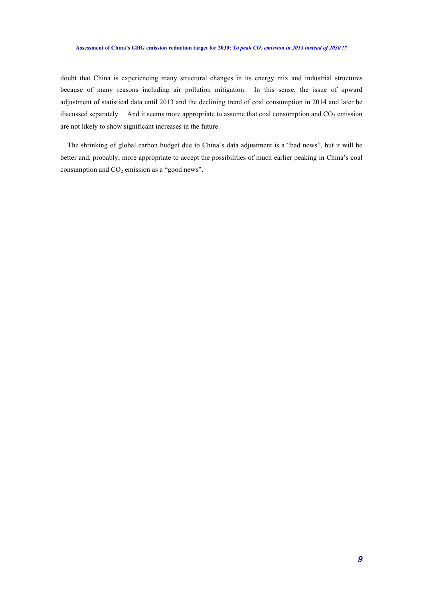#### **Assessment of China's GHG emission reduction target for 2030:** *To peak CO2 emission in 2013 instead of 2030 !?*

doubt that China is experiencing many structural changes in its energy mix and industrial structures because of many reasons including air pollution mitigation. In this sense, the issue of upward adjustment of statistical data until 2013 and the declining trend of coal consumption in 2014 and later be discussed separately. And it seems more appropriate to assume that coal consumption and  $CO<sub>2</sub>$  emission are not likely to show significant increases in the future.

The shrinking of global carbon budget due to China's data adjustment is a "bad news", but it will be better and, probably, more appropriate to accept the possibilities of much earlier peaking in China's coal consumption and  $CO<sub>2</sub>$  emission as a "good news".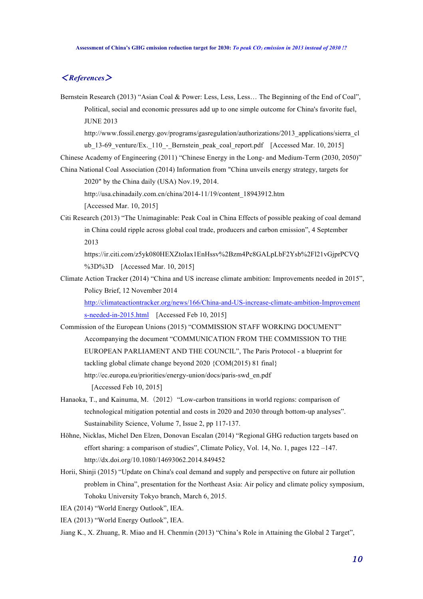## <*References*>

Bernstein Research (2013) "Asian Coal & Power: Less, Less, Less... The Beginning of the End of Coal", Political, social and economic pressures add up to one simple outcome for China's favorite fuel, JUNE 2013

http://www.fossil.energy.gov/programs/gasregulation/authorizations/2013\_applications/sierra\_cl ub 13-69 venture/Ex. 110 - Bernstein peak coal report.pdf [Accessed Mar. 10, 2015]

Chinese Academy of Engineering (2011) "Chinese Energy in the Long- and Medium-Term (2030, 2050)"

China National Coal Association (2014) Information from "China unveils energy strategy, targets for 2020" by the China daily (USA) Nov.19, 2014.

http://usa.chinadaily.com.cn/china/2014-11/19/content\_18943912.htm

[Accessed Mar. 10, 2015]

Citi Research (2013) "The Unimaginable: Peak Coal in China Effects of possible peaking of coal demand in China could ripple across global coal trade, producers and carbon emission", 4 September 2013

https://ir.citi.com/z5yk080HEXZtoIax1EnHssv%2Bzm4Pc8GALpLbF2Ysb%2Fl21vGjprPCVQ %3D%3D [Accessed Mar. 10, 2015]

Climate Action Tracker (2014) "China and US increase climate ambition: Improvements needed in 2015", Policy Brief, 12 November 2014

http://climateactiontracker.org/news/166/China-and-US-increase-climate-ambition-Improvement s-needed-in-2015.html [Accessed Feb 10, 2015]

Commission of the European Unions (2015) "COMMISSION STAFF WORKING DOCUMENT" Accompanying the document "COMMUNICATION FROM THE COMMISSION TO THE EUROPEAN PARLIAMENT AND THE COUNCIL", The Paris Protocol - a blueprint for tackling global climate change beyond 2020 {COM(2015) 81 final} http://ec.europa.eu/priorities/energy-union/docs/paris-swd\_en.pdf

[Accessed Feb 10, 2015]

- Hanaoka, T., and Kainuma, M. (2012) "Low-carbon transitions in world regions: comparison of technological mitigation potential and costs in 2020 and 2030 through bottom-up analyses". Sustainability Science, Volume 7, Issue 2, pp 117-137.
- Höhne, Nicklas, Michel Den Elzen, Donovan Escalan (2014) "Regional GHG reduction targets based on effort sharing: a comparison of studies", Climate Policy, Vol. 14, No. 1, pages 122 –147. http://dx.doi.org/10.1080/14693062.2014.849452
- Horii, Shinji (2015) "Update on China's coal demand and supply and perspective on future air pollution problem in China", presentation for the Northeast Asia: Air policy and climate policy symposium, Tohoku University Tokyo branch, March 6, 2015.
- IEA (2014) "World Energy Outlook", IEA.
- IEA (2013) "World Energy Outlook", IEA.
- Jiang K., X. Zhuang, R. Miao and H. Chenmin (2013) "China's Role in Attaining the Global 2 Target",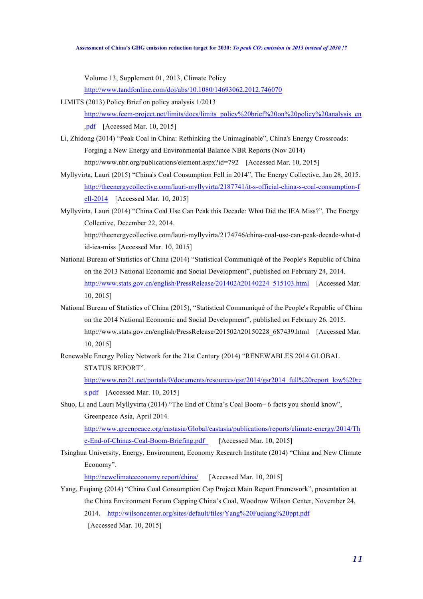Volume 13, Supplement 01, 2013, Climate Policy

http://www.tandfonline.com/doi/abs/10.1080/14693062.2012.746070

LIMITS (2013) Policy Brief on policy analysis 1/2013

http://www.feem-project.net/limits/docs/limits\_policy%20brief%20on%20policy%20analysis\_en

.pdf [Accessed Mar. 10, 2015]

- Li, Zhidong (2014) "Peak Coal in China: Rethinking the Unimaginable", China's Energy Crossroads: Forging a New Energy and Environmental Balance NBR Reports (Nov 2014) http://www.nbr.org/publications/element.aspx?id=792 [Accessed Mar. 10, 2015]
- Myllyvirta, Lauri (2015) "China's Coal Consumption Fell in 2014", The Energy Collective, Jan 28, 2015. http://theenergycollective.com/lauri-myllyvirta/2187741/it-s-official-china-s-coal-consumption-f ell-2014 [Accessed Mar. 10, 2015]
- Myllyvirta, Lauri (2014) "China Coal Use Can Peak this Decade: What Did the IEA Miss?", The Energy Collective, December 22, 2014.

http://theenergycollective.com/lauri-myllyvirta/2174746/china-coal-use-can-peak-decade-what-d id-iea-miss [Accessed Mar. 10, 2015]

- National Bureau of Statistics of China (2014) "Statistical Communiqué of the People's Republic of China on the 2013 National Economic and Social Development", published on February 24, 2014. http://www.stats.gov.cn/english/PressRelease/201402/t20140224\_515103.html [Accessed Mar.] 10, 2015]
- National Bureau of Statistics of China (2015), "Statistical Communiqué of the People's Republic of China on the 2014 National Economic and Social Development", published on February 26, 2015. http://www.stats.gov.cn/english/PressRelease/201502/t20150228\_687439.html [Accessed Mar.] 10, 2015]
- Renewable Energy Policy Network for the 21st Century (2014) "RENEWABLES 2014 GLOBAL STATUS REPORT".

http://www.ren21.net/portals/0/documents/resources/gsr/2014/gsr2014\_full%20report\_low%20re s.pdf [Accessed Mar. 10, 2015]

Shuo, Li and Lauri Myllyvirta (2014) "The End of China's Coal Boom– 6 facts you should know", Greenpeace Asia, April 2014.

http://www.greenpeace.org/eastasia/Global/eastasia/publications/reports/climate-energy/2014/Th e-End-of-Chinas-Coal-Boom-Briefing.pdf [Accessed Mar. 10, 2015]

Tsinghua University, Energy, Environment, Economy Research Institute (2014) "China and New Climate Economy".

http://newclimateeconomy.report/china/ [Accessed Mar. 10, 2015]

Yang, Fuqiang (2014) "China Coal Consumption Cap Project Main Report Framework", presentation at the China Environment Forum Capping China's Coal, Woodrow Wilson Center, November 24, 2014. http://wilsoncenter.org/sites/default/files/Yang%20Fuqiang%20ppt.pdf [Accessed Mar. 10, 2015]